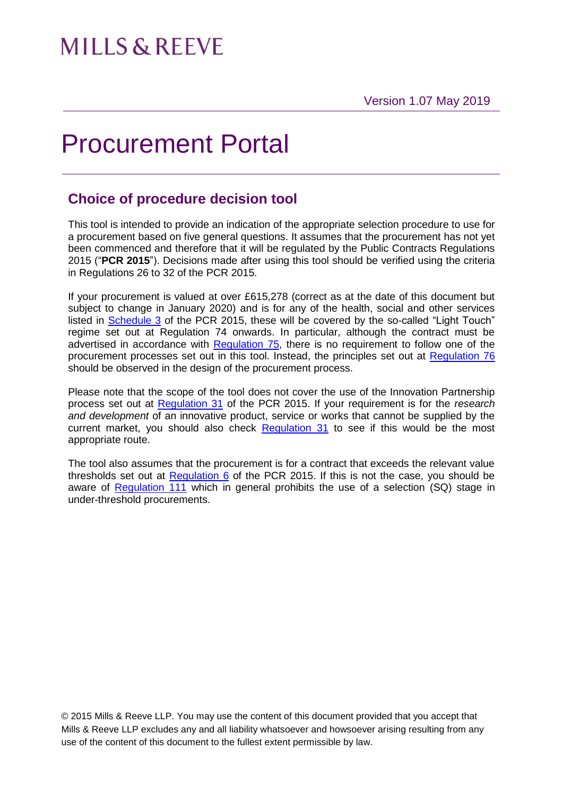## Procurement Portal

## **Choice of procedure decision tool**

This tool is intended to provide an indication of the appropriate selection procedure to use for a procurement based on five general questions. It assumes that the procurement has not yet been commenced and therefore that it will be regulated by the Public Contracts Regulations 2015 ("**PCR 2015**"). Decisions made after using this tool should be verified using the criteria in Regulations 26 to 32 of the PCR 2015.

If your procurement is valued at over £615,278 (correct as at the date of this document but subject to change in January 2020) and is for any of the health, social and other services listed in [Schedule 3](http://www.legislation.gov.uk/uksi/2015/102/schedule/3/made) of the PCR 2015, these will be covered by the so-called "Light Touch" regime set out at Regulation 74 onwards. In particular, although the contract must be advertised in accordance with [Regulation 75,](http://www.legislation.gov.uk/uksi/2015/102/regulation/75/made) there is no requirement to follow one of the procurement processes set out in this tool. Instead, the principles set out at [Regulation 76](http://www.legislation.gov.uk/uksi/2015/102/regulation/76/made) should be observed in the design of the procurement process.

Please note that the scope of the tool does not cover the use of the Innovation Partnership process set out at [Regulation 31](http://www.legislation.gov.uk/uksi/2015/102/regulation/31/made) of the PCR 2015. If your requirement is for the *research and development* of an innovative product, service or works that cannot be supplied by the current market, you should also check [Regulation 31](http://www.legislation.gov.uk/uksi/2015/102/regulation/31/made) to see if this would be the most appropriate route.

The tool also assumes that the procurement is for a contract that exceeds the relevant value thresholds set out at [Regulation 6](http://www.legislation.gov.uk/uksi/2015/102/regulation/6/made) of the PCR 2015. If this is not the case, you should be aware of [Regulation 111](http://www.legislation.gov.uk/uksi/2015/102/regulation/111/made) which in general prohibits the use of a selection (SQ) stage in under-threshold procurements.

© 2015 Mills & Reeve LLP. You may use the content of this document provided that you accept that Mills & Reeve LLP excludes any and all liability whatsoever and howsoever arising resulting from any use of the content of this document to the fullest extent permissible by law.